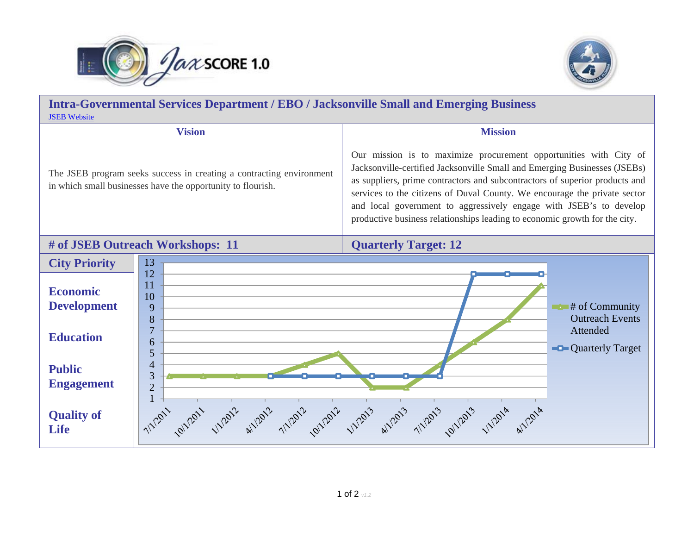



**Intra-Governmental Services Department / EBO / Jacksonville Small and Emerging Business**  [JSEB Website](http://www.coj.net/departments/office-of-economic-development/jacksonville-small---emerging-business.aspx)**Vision Mission** Our mission is to maximize procurement opportunities with City of Jacksonville-certified Jacksonville Small and Emerging Businesses (JSEBs) The JSEB program seeks success in creating a contracting environment as suppliers, prime contractors and subcontractors of superior products and in which small businesses have the opportunity to flourish. services to the citizens of Duval County. We encourage the private sector and local government to aggressively engage with JSEB's to develop productive business relationships leading to economic growth for the city. **# of JSEB Outreach Workshops: 11 Quarterly Target: 12 City Priority**  131211**Economic** 10**Development**  # of Community 9Outreach Events87Attended**Education** 6**Quarterly Target** 54**Public** 3 **Engagement**  217/1/2011 Johnson unpoin whois unpoin unpoin whois whois outpoin unpoin whois **Quality of Life**